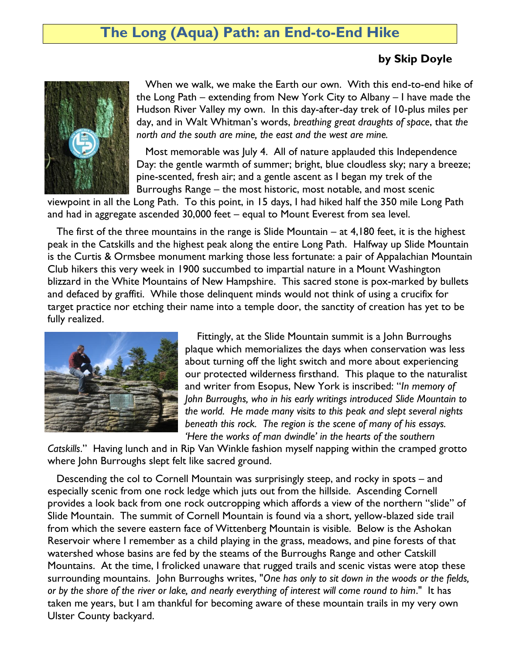## **The Long (Aqua) Path: an End-to-End Hike**

## **by Skip Doyle**



 When we walk, we make the Earth our own. With this end-to-end hike of the Long Path – extending from New York City to Albany – I have made the Hudson River Valley my own. In this day-after-day trek of 10-plus miles per day, and in Walt Whitman's words, *breathing great draughts of space*, that *the north and the south are mine, the east and the west are mine.* 

Most memorable was July 4. All of nature applauded this Independence Day: the gentle warmth of summer; bright, blue cloudless sky; nary a breeze; pine-scented, fresh air; and a gentle ascent as I began my trek of the Burroughs Range – the most historic, most notable, and most scenic

viewpoint in all the Long Path. To this point, in 15 days, I had hiked half the 350 mile Long Path and had in aggregate ascended 30,000 feet – equal to Mount Everest from sea level.

 The first of the three mountains in the range is Slide Mountain – at 4,180 feet, it is the highest peak in the Catskills and the highest peak along the entire Long Path. Halfway up Slide Mountain is the Curtis & Ormsbee monument marking those less fortunate: a pair of Appalachian Mountain Club hikers this very week in 1900 succumbed to impartial nature in a Mount Washington blizzard in the White Mountains of New Hampshire. This sacred stone is pox-marked by bullets and defaced by graffiti. While those delinquent minds would not think of using a crucifix for target practice nor etching their name into a temple door, the sanctity of creation has yet to be fully realized.



 Fittingly, at the Slide Mountain summit is a John Burroughs plaque which memorializes the days when conservation was less about turning off the light switch and more about experiencing our protected wilderness firsthand. This plaque to the naturalist and writer from Esopus, New York is inscribed: "*In memory of John Burroughs, who in his early writings introduced Slide Mountain to the world. He made many visits to this peak and slept several nights beneath this rock. The region is the scene of many of his essays. 'Here the works of man dwindle' in the hearts of the southern* 

*Catskills*." Having lunch and in Rip Van Winkle fashion myself napping within the cramped grotto where John Burroughs slept felt like sacred ground.

 Descending the col to Cornell Mountain was surprisingly steep, and rocky in spots – and especially scenic from one rock ledge which juts out from the hillside. Ascending Cornell provides a look back from one rock outcropping which affords a view of the northern "slide" of Slide Mountain. The summit of Cornell Mountain is found via a short, yellow-blazed side trail from which the severe eastern face of Wittenberg Mountain is visible. Below is the Ashokan Reservoir where I remember as a child playing in the grass, meadows, and pine forests of tha[t](http://www.dec.ny.gov/lands/53807.html) watershed whose basins are fed by the steams of the Burroughs Range and other Catskill Mountains. At the time, I frolicked unaware that rugged trails and scenic vistas were atop these surrounding mountains. John Burroughs writes, "*One has only to sit down in the woods or the fields, or by the shore of the river or lake, and nearly everything of interest will come round to him*." It has taken me years, but I am thankful for becoming aware of these mountain trails in my very own Ulster County backyard.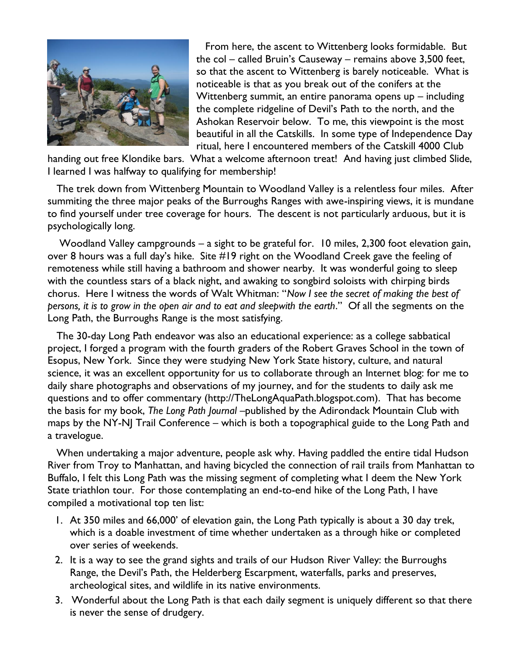

 From here, the ascent to Wittenberg looks formidable. But the col – called Bruin's Causeway – remains above 3,500 feet, so that the ascent to Wittenberg is barely noticeable. What is noticeable is that as you break out of the conifers at the Wittenberg summit, an entire panorama opens up – including the complete ridgeline of Devil's Path to the north, and the Ashokan Reservoir below. To me, this viewpoint is the most beautiful in all the Catskills. In some type of Independence Day ritual, here I encountered members of the Catskill 4000 Club

handing out free Klondike bars. What a welcome afternoon treat! And having just climbed Slide, I learned I was halfway to qualifying for membership!

 The trek down from Wittenberg Mountain to Woodland Valley is a relentless four miles. After summiting the three major peaks of the Burroughs Ranges with awe-inspiring views, it is mundane to find yourself under tree coverage for hours. The descent is not particularly arduous, but it is psychologically long.

 Woodland Valley campgrounds – a sight to be grateful for. 10 miles, 2,300 foot elevation gain, over 8 hours was a full day's hike. Site #19 right on the Woodland Creek gave the feeling of remoteness while still having a bathroom and shower nearby. It was wonderful going to sleep with the countless stars of a black night, and awaking to songbird soloists with chirping birds chorus. Here I witness the words of Walt Whitman: "*Now I see the secret of making the best of persons, it is to grow in the open air and to eat and sleepwith the earth*." Of all the segments on the Long Path, the Burroughs Range is the most satisfying.

 The 30-day Long Path endeavor was also an educational experience: as a college sabbatical project, I forged a program with the fourth graders of the Robert Graves School in the town of Esopus, New York. Since they were studying New York State history, culture, and natural science, it was an excellent opportunity for us to collaborate through an Internet blog: for me to daily share photographs and observations of my journey, and for the students to daily ask me questions and to offer commentary [\(http://TheLongAquaPath.blogspot.com\)](http://thelongaquapath.blogspot.com/). That has become the basis for my book, *The Long Path Journal* –published by the Adirondack Mountain Club with maps by the NY-NJ Trail Conference – which is both a topographical guide to the Long Path and a travelogue.

 When undertaking a major adventure, people ask why. Having paddled the entire tidal Hudson River from Troy to Manhattan, and having bicycled the connection of rail trails from Manhattan to Buffalo, I felt this Long Path was the missing segment of completing what I deem the New York State triathlon tour. For those contemplating an end-to-end hike of the Long Path, I have compiled a motivational top ten list:

- 1. At 350 miles and 66,000' of elevation gain, the Long Path typically is about a 30 day trek, which is a doable investment of time whether undertaken as a through hike or completed over series of weekends.
- 2. It is a way to see the grand sights and trails of our Hudson River Valley: the Burroughs Range, the Devil's Path, the Helderberg Escarpment, waterfalls, parks and preserves, archeological sites, and wildlife in its native environments.
- 3. Wonderful about the Long Path is that each daily segment is uniquely different so that there is never the sense of drudgery.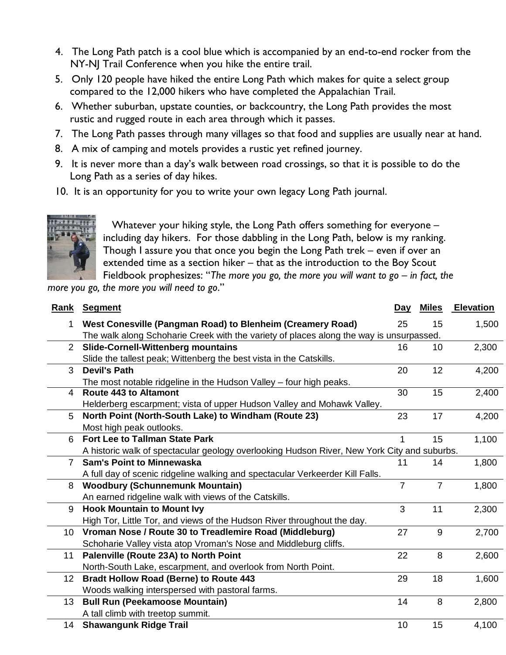- 4. The Long Path patch is a cool blue which is accompanied by an end-to-end rocker from the NY-NJ Trail Conference when you hike the entire trail.
- 5. Only 120 people have hiked the entire Long Path which makes for quite a select group compared to the 12,000 hikers who have completed the Appalachian Trail.
- 6. Whether suburban, upstate counties, or backcountry, the Long Path provides the most rustic and rugged route in each area through which it passes.
- 7. The Long Path passes through many villages so that food and supplies are usually near at hand.
- 8. A mix of camping and motels provides a rustic yet refined journey.
- 9. It is never more than a day's walk between road crossings, so that it is possible to do the Long Path as a series of day hikes.
- 10. It is an opportunity for you to write your own legacy Long Path journal.



 Whatever your hiking style, the Long Path offers something for everyone – including day hikers. For those dabbling in the Long Path, below is my ranking. Though I assure you that once you begin the Long Path trek – even if over an extended time as a section hiker – that as the introduction to the Boy Scout Fieldbook prophesizes: "The more you go, the more you will want to go – in fact, the

*more you go, the more you will need to go*."

|                 | <b>Rank Segment</b>                                                                         | Day            | <b>Miles</b>   | <b>Elevation</b> |
|-----------------|---------------------------------------------------------------------------------------------|----------------|----------------|------------------|
| 1.              | West Conesville (Pangman Road) to Blenheim (Creamery Road)                                  | 25             | 15             | 1,500            |
|                 | The walk along Schoharie Creek with the variety of places along the way is unsurpassed.     |                |                |                  |
| $\overline{2}$  | <b>Slide-Cornell-Wittenberg mountains</b>                                                   | 16             | 10             | 2,300            |
|                 | Slide the tallest peak; Wittenberg the best vista in the Catskills.                         |                |                |                  |
| 3               | <b>Devil's Path</b>                                                                         | 20             | 12             | 4,200            |
|                 | The most notable ridgeline in the Hudson Valley - four high peaks.                          |                |                |                  |
| 4               | <b>Route 443 to Altamont</b>                                                                | 30             | 15             | 2,400            |
|                 | Helderberg escarpment; vista of upper Hudson Valley and Mohawk Valley.                      |                |                |                  |
| 5               | North Point (North-South Lake) to Windham (Route 23)                                        | 23             | 17             | 4,200            |
|                 | Most high peak outlooks.                                                                    |                |                |                  |
| 6               | <b>Fort Lee to Tallman State Park</b>                                                       | 1              | 15             | 1,100            |
|                 | A historic walk of spectacular geology overlooking Hudson River, New York City and suburbs. |                |                |                  |
| $\overline{7}$  | <b>Sam's Point to Minnewaska</b>                                                            | 11             | 14             | 1,800            |
|                 | A full day of scenic ridgeline walking and spectacular Verkeerder Kill Falls.               |                |                |                  |
| 8               | <b>Woodbury (Schunnemunk Mountain)</b>                                                      | $\overline{7}$ | $\overline{7}$ | 1,800            |
|                 | An earned ridgeline walk with views of the Catskills.                                       |                |                |                  |
| 9               | <b>Hook Mountain to Mount Ivy</b>                                                           | 3              | 11             | 2,300            |
|                 | High Tor, Little Tor, and views of the Hudson River throughout the day.                     |                |                |                  |
| 10              | Vroman Nose / Route 30 to Treadlemire Road (Middleburg)                                     | 27             | 9              | 2,700            |
|                 | Schoharie Valley vista atop Vroman's Nose and Middleburg cliffs.                            |                |                |                  |
| 11              | Palenville (Route 23A) to North Point                                                       | 22             | 8              | 2,600            |
|                 | North-South Lake, escarpment, and overlook from North Point.                                |                |                |                  |
| 12              | <b>Bradt Hollow Road (Berne) to Route 443</b>                                               | 29             | 18             | 1,600            |
|                 | Woods walking interspersed with pastoral farms.                                             |                |                |                  |
| 13 <sup>°</sup> | <b>Bull Run (Peekamoose Mountain)</b>                                                       | 14             | 8              | 2,800            |
|                 | A tall climb with treetop summit.                                                           |                |                |                  |
| 14              | <b>Shawangunk Ridge Trail</b>                                                               | 10             | 15             | 4,100            |